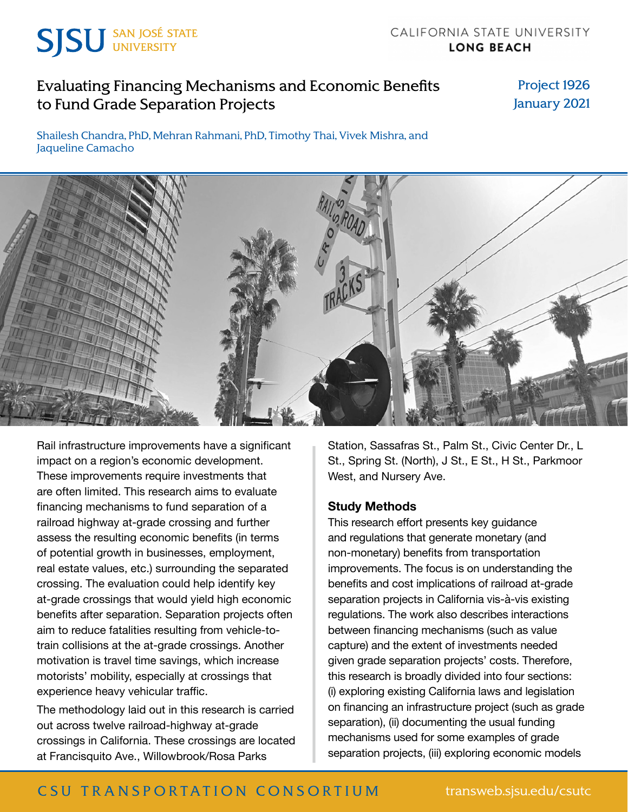

# [Evaluating Financing Mechanisms and Economic Benefits](http://transweb.sjsu.edu/research/1926-Grade-Separation)  [to Fund Grade Separation Projects](http://transweb.sjsu.edu/research/1926-Grade-Separation)

Project 1926 January 2021

Shailesh Chandra, PhD, Mehran Rahmani, PhD, Timothy Thai, Vivek Mishra, and Jaqueline Camacho



Rail infrastructure improvements have a significant impact on a region's economic development. These improvements require investments that are often limited. This research aims to evaluate financing mechanisms to fund separation of a railroad highway at-grade crossing and further assess the resulting economic benefits (in terms of potential growth in businesses, employment, real estate values, etc.) surrounding the separated crossing. The evaluation could help identify key at-grade crossings that would yield high economic benefits after separation. Separation projects often aim to reduce fatalities resulting from vehicle-totrain collisions at the at-grade crossings. Another motivation is travel time savings, which increase motorists' mobility, especially at crossings that experience heavy vehicular traffic.

The methodology laid out in this research is carried out across twelve railroad-highway at-grade crossings in California. These crossings are located at Francisquito Ave., Willowbrook/Rosa Parks

Station, Sassafras St., Palm St., Civic Center Dr., L St., Spring St. (North), J St., E St., H St., Parkmoor West, and Nursery Ave.

#### **Study Methods**

This research effort presents key guidance and regulations that generate monetary (and non-monetary) benefits from transportation improvements. The focus is on understanding the benefits and cost implications of railroad at-grade separation projects in California vis-à-vis existing regulations. The work also describes interactions between financing mechanisms (such as value capture) and the extent of investments needed given grade separation projects' costs. Therefore, this research is broadly divided into four sections: (i) exploring existing California laws and legislation on financing an infrastructure project (such as grade separation), (ii) documenting the usual funding mechanisms used for some examples of grade separation projects, (iii) exploring economic models

## C SU TRANSPORTATION CONSORTIUM transweb.sjsu.edu/csutc